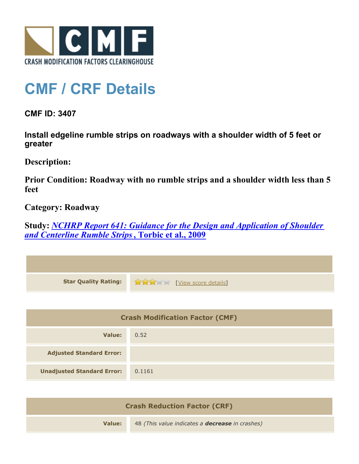

## **CMF / CRF Details**

**CMF ID: 3407**

**Install edgeline rumble strips on roadways with a shoulder width of 5 feet or greater**

**Description:** 

**Prior Condition: Roadway with no rumble strips and a shoulder width less than 5 feet**

**Category: Roadway**

**Study:** *[NCHRP Report 641: Guidance for the Design and Application of Shoulder](http://www.cmfclearinghouse.org/study_detail.cfm?stid=206) [and Centerline Rumble Strips](http://www.cmfclearinghouse.org/study_detail.cfm?stid=206)***[, Torbic et al., 2009](http://www.cmfclearinghouse.org/study_detail.cfm?stid=206)**

| <b>Star Quality Rating:</b>            | <b>THE EXAMPLE EXAMPLE IN THE EXAMPLE SCOTE details</b> |
|----------------------------------------|---------------------------------------------------------|
|                                        |                                                         |
| <b>Crash Modification Factor (CMF)</b> |                                                         |
| <b>Value:</b>                          | 0.52                                                    |
| <b>Adjusted Standard Error:</b>        |                                                         |
| <b>Unadjusted Standard Error:</b>      | 0.1161                                                  |
|                                        |                                                         |

| <b>Crash Reduction Factor (CRF)</b> |                                                        |  |
|-------------------------------------|--------------------------------------------------------|--|
| Value:                              | 48 (This value indicates a <b>decrease</b> in crashes) |  |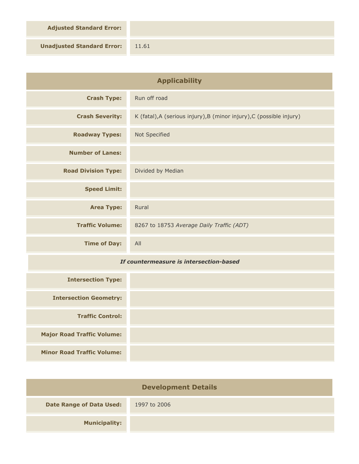**Adjusted Standard Error:**

**Unadjusted Standard Error:** 11.61

| <b>Applicability</b>                    |                                                                      |
|-----------------------------------------|----------------------------------------------------------------------|
| <b>Crash Type:</b>                      | Run off road                                                         |
| <b>Crash Severity:</b>                  | K (fatal), A (serious injury), B (minor injury), C (possible injury) |
| <b>Roadway Types:</b>                   | Not Specified                                                        |
| <b>Number of Lanes:</b>                 |                                                                      |
| <b>Road Division Type:</b>              | Divided by Median                                                    |
| <b>Speed Limit:</b>                     |                                                                      |
| <b>Area Type:</b>                       | Rural                                                                |
| <b>Traffic Volume:</b>                  | 8267 to 18753 Average Daily Traffic (ADT)                            |
| <b>Time of Day:</b>                     | All                                                                  |
| If countermeasure is intersection-based |                                                                      |
| <b>Intersection Type:</b>               |                                                                      |
| <b>Intersection Geometry:</b>           |                                                                      |
| <b>Traffic Control:</b>                 |                                                                      |
| <b>Major Road Traffic Volume:</b>       |                                                                      |
| <b>Minor Road Traffic Volume:</b>       |                                                                      |

| <b>Development Details</b>      |              |  |
|---------------------------------|--------------|--|
| <b>Date Range of Data Used:</b> | 1997 to 2006 |  |
| <b>Municipality:</b>            |              |  |